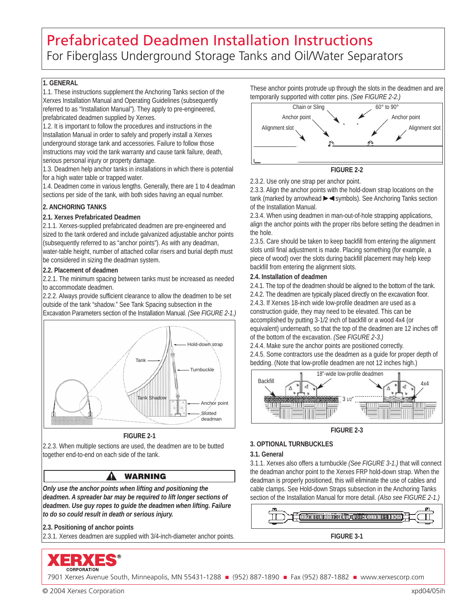## Prefabricated Deadmen Installation Instructions For Fiberglass Underground Storage Tanks and Oil/Water Separators

#### **1. GENERAL**

1.1. These instructions supplement the Anchoring Tanks section of the Xerxes Installation Manual and Operating Guidelines (subsequently referred to as "Installation Manual"). They apply to pre-engineered, prefabricated deadmen supplied by Xerxes.

1.2. It is important to follow the procedures and instructions in the Installation Manual in order to safely and properly install a Xerxes underground storage tank and accessories. Failure to follow those instructions may void the tank warranty and cause tank failure, death, serious personal injury or property damage.

1.3. Deadmen help anchor tanks in installations in which there is potential for a high water table or trapped water.

1.4. Deadmen come in various lengths. Generally, there are 1 to 4 deadman sections per side of the tank, with both sides having an equal number.

#### **2. ANCHORING TANKS**

#### **2.1. Xerxes Prefabricated Deadmen**

2.1.1. Xerxes-supplied prefabricated deadmen are pre-engineered and sized to the tank ordered and include galvanized adjustable anchor points (subsequently referred to as "anchor points"). As with any deadman, water-table height, number of attached collar risers and burial depth must be considered in sizing the deadman system.

#### **2.2. Placement of deadmen**

2.2.1. The minimum spacing between tanks must be increased as needed to accommodate deadmen.

2.2.2. Always provide sufficient clearance to allow the deadmen to be set outside of the tank "shadow." See Tank Spacing subsection in the





#### **FIGURE 2-1**

2.2.3. When multiple sections are used, the deadmen are to be butted together end-to-end on each side of the tank.

Δ

## **WARNING**

*Only use the anchor points when lifting and positioning the deadmen. A spreader bar may be required to lift longer sections of deadmen. Use guy ropes to guide the deadmen when lifting. Failure to do so could result in death or serious injury.*

**2.3. Positioning of anchor points**

2.3.1. Xerxes deadmen are supplied with 3/4-inch-diameter anchor points.



7901 Xerxes Avenue South, Minneapolis, MN 55431-1288 - (952) 887-1890 - Fax (952) 887-1882 - www.xerxescorp.com

These anchor points protrude up through the slots in the deadmen and are temporarily supported with cotter pins. *(See FIGURE 2-2.)*





2.3.2. Use only one strap per anchor point.

2.3.3. Align the anchor points with the hold-down strap locations on the tank (marked by arrowhead  $\blacktriangleright \blacktriangleleft$  symbols). See Anchoring Tanks section of the Installation Manual.

2.3.4. When using deadmen in man-out-of-hole strapping applications, align the anchor points with the proper ribs before setting the deadmen in the hole.

2.3.5. Care should be taken to keep backfill from entering the alignment slots until final adjustment is made. Placing something (for example, a piece of wood) over the slots during backfill placement may help keep backfill from entering the alignment slots.

**2.4. Installation of deadmen**

2.4.1. The top of the deadmen should be aligned to the bottom of the tank.

2.4.2. The deadmen are typically placed directly on the excavation floor. 2.4.3. If Xerxes 18-inch wide low-profile deadmen are used as a construction guide, they may need to be elevated. This can be accomplished by putting 3-1/2 inch of backfill or a wood 4x4 (or equivalent) underneath, so that the top of the deadmen are 12 inches off of the bottom of the excavation. *(See FIGURE 2-3.)*

2.4.4. Make sure the anchor points are positioned correctly. 2.4.5. Some contractors use the deadmen as a guide for proper depth of bedding. (Note that low-profile deadmen are not 12 inches high.)



**FIGURE 2-3**

### **3. OPTIONAL TURNBUCKLES**

**3.1. General**

3.1.1. Xerxes also offers a turnbuckle *(See FIGURE 3-1.)* that will connect the deadman anchor point to the Xerxes FRP hold-down strap. When the deadman is properly positioned, this will eliminate the use of cables and cable clamps. See Hold-down Straps subsection in the Anchoring Tanks section of the Installation Manual for more detail. *(Also see FIGURE 2-1.)*



© 2004 Xerxes Corporation